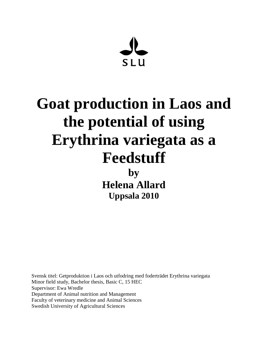**SLU** 

# **Goat production in Laos and the potential of using Erythrina variegata as a Feedstuff by Helena Allard Uppsala 2010**

Svensk titel: Getproduktion i Laos och utfodring med foderträdet Erythrina variegata Minor field study, Bachelor thesis, Basic C, 15 HEC Supervisor: Ewa Wredle Department of Animal nutrition and Management Faculty of veterinary medicine and Animal Sciences Swedish University of Agricultural Sciences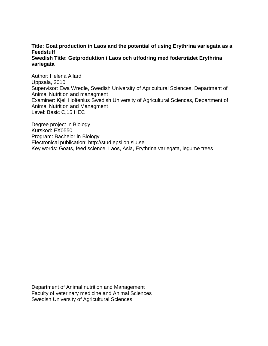## **Title: Goat production in Laos and the potential of using Erythrina variegata as a Feedstuff**

#### **Swedish Title: Getproduktion i Laos och utfodring med foderträdet Erythrina variegata**

Author: Helena Allard Uppsala, 2010 Supervisor: Ewa Wredle, Swedish University of Agricultural Sciences, Department of Animal Nutrition and managment Examiner: Kjell Holtenius Swedish University of Agricultural Sciences, Department of Animal Nutrition and Managment Level: Basic C,15 HEC

Degree project in Biology Kurskod: EX0550 Program: Bachelor in Biology Electronical publication: http://stud.epsilon.slu.se Key words: Goats, feed science, Laos, Asia, Erythrina variegata, legume trees

Department of Animal nutrition and Management Faculty of veterinary medicine and Animal Sciences Swedish University of Agricultural Sciences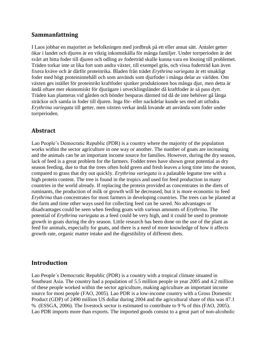## <span id="page-3-0"></span>**Sammanfattning**

I Laos jobbar en majoritet av befolkningen med jordbruk på ett eller annat sätt. Antalet getter ökar i landet och djuren är en viktig inkomstkälla för många familjer. Under torrperioden är det svårt att hitta foder till djuren och odling av foderträd skulle kunna vara en lösning till problemet. Träden torkar inte ut lika fort som andra växter, till exempel gräs, och vissa foderträd kan även fixera kväve och är därför proteinrika. Bladen från trädet *Erythrina variegata* är ett smakligt foder med högt proteininnehåll och som används som djurfoder i många delar av världen. Om växten ges istället för proteinrikt kraftfoder sjunker produktionen hos många djur, men detta är ändå oftare mer ekonomiskt för djurägare i utvecklingsländer då kraftfoder är så pass dyrt. Träden kan planteras vid gården och bönder besparas därmed tid då de inte behöver gå långa sträckor och samla in foder till djuren. Inga för- eller nackdelar kunde ses med att utfodra *Erythrina variegata* till getter, men växten verkar ändå lovande att använda som foder under torrperioden.

## <span id="page-3-1"></span>**Abstract**

Lao People's Democratic Republic (PDR) is a country where the majority of the population works within the sector agriculture in one way or another. The number of goats are increasing and the animals can be an important income source for families. However, during the dry season, lack of feed is a great problem for the farmers. Fodder trees have shown great potential as dry season feeding, due to that the trees often hold green and fresh leaves a long time into the season, compared to grass that dry out quickly. *Erythrina variegata* is a palatable legume tree with a high protein content. The tree is found in the tropics and used for feed production in many countries in the world already. If replacing the protein provided as concentrates in the diets of ruminants, the production of milk or growth will be decreased, but it is more economic to feed *Erythrina* than concentrates for most farmers in developing countries. The trees can be planted at the farm and time other ways used for collecting feed can be saved. No advantages or disadvantages could be seen when feeding goats with various amounts of *Erythrina*. The potential of *Erythrina variegata* as a feed could be very high, and it could be used to promote growth in goats during the dry season. Little research has been done on the use of the plant as feed for animals, especially for goats, and there is a need of more knowledge of how it affects growth rate, organic matter intake and the digestibility of different diets.

## <span id="page-3-2"></span>**Introduction**

Lao People´s Democratic Republic (PDR) is a country with a tropical climate situated in Southeast Asia. The country had a population of 5.5 million people in year 2005 and 4.2 million of these people worked within the sector agriculture, making agriculture an important income source for most people (FAO, 2005). Lao PDR is a low-income country with a Gross Domestic Product (GDP) of 2490 million US dollar during 2004 and the agricultural share of this was 47.1 % (ESSGA, 2006). The livestock sector is estimated to contribute to 9 % of this (FAO, 2005). Lao PDR imports more than exports. The imported goods consist to a great part of non-alcoholic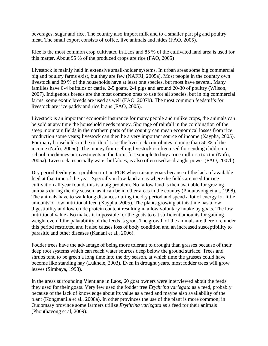beverages, sugar and rice. The country also import milk and to a smaller part pig and poultry meat. The small export consists of coffee, live animals and hides (FAO, 2005).

Rice is the most common crop cultivated in Laos and 85 % of the cultivated land area is used for this matter. About 95 % of the produced crops are rice (FAO, 2005)

Livestock is mainly held in extensive small-holder systems. In urban areas some big commercial pig and poultry farms exist, but they are few (NAFRI, 2005a). Most people in the country own livestock and 89 % of the households have at least one species, but most have several. Many families have 0-4 buffalos or cattle, 2-5 goats, 2-4 pigs and around 20-30 of poultry (Wilson, 2007). Indigenous breeds are the most common ones to use for all species, but in big commercial farms, some exotic breeds are used as well (FAO, 2007b). The most common feedstuffs for livestock are rice paddy and rice brans (FAO, 2005).

Livestock is an important economic insurance for many people and unlike crops, the animals can be sold at any time the household needs money. Shortage of rainfall in the combination of the steep mountain fields in the northern parts of the country can mean economical losses from rice production some years; livestock can then be a very important source of income (Xaypha, 2005). For many households in the north of Laos the livestock contributes to more than 50 % of the income (Nafri, 2005c). The money from selling livestock is often used for sending children to school, medicines or investments in the farm, for example to buy a rice mill or a tractor (Nafri, 2005a). Livestock, especially water buffaloes, is also often used as draught power (FAO, 2007b).

Dry period feeding is a problem in Lao PDR when raising goats because of the lack of available feed at that time of the year. Specially in low-land areas where the fields are used for rice cultivation all year round, this is a big problem. No fallow land is then available for grazing animals during the dry season, as it can be in other areas in the country (Phoutavong et al., 1998). The animals have to walk long distances during the dry period and spend a lot of energy for little amounts of low nutritional feed (Xaypha, 2005). The plants growing at this time has a low digestibility and low crude protein content resulting in a low voluntary intake by goats. The low nutritional value also makes it impossible for the goats to eat sufficient amounts for gaining weight even if the palatability of the feeds is good. The growth of the animals are therefore under this period restricted and it also causes loss of body condition and an increased susceptibility to parasitic and other diseases (Kanani et al., 2006).

Fodder trees have the advantage of being more tolerant to drought than grasses because of their deep root systems which can reach water sources deep below the ground surface. Trees and shrubs tend to be green a long time into the dry season, at which time the grasses could have become like standing hay (Lukhele, 2003). Even in drought years, most fodder trees will grow leaves (Simbaya, 1998).

In the areas surrounding Vientiane in Laos, 60 goat owners were interviewed about the feeds they used for their goats. Very few used the fodder tree *Erythrina variegata* as a feed, probably because of the lack of knowledge about its value as a feed and maybe also availability of the plant (Kongmanila et al., 2008a). In other provinces the use of the plant is more common; in Oudomsay province some farmers utilize *Erythrina variegata* as a feed for their animals (Phouthavong et al, 2009).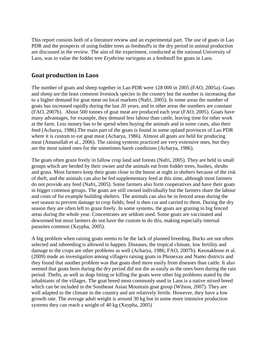This report consists both of a literature review and an experimental part. The use of goats in Lao PDR and the prospects of using fodder trees as feedstuffs in the dry period in animal production are discussed in the review. The aim of the experiment, conducted at the national University of Laos, was to value the fodder tree *Erythrina variegata* as a feedstuff for goats in Laos.

## <span id="page-5-0"></span>**Goat production in Laos**

The number of goats and sheep together in Lao PDR were 128 000 in 2005 (FAO, 2005a). Goats and sheep are the least common livestock species in the country but the number is increasing due to a higher demand for goat meat on local markets (Nafri, 2005). In some areas the number of goats has increased rapidly during the last 20 years, and in other areas the numbers are constant (FAO, 2007b). About 500 tonnes of goat meat are produced each year (FAO, 2005). Goats have many advantages, for example, they demand less labour than cattle, leaving time for other work at the farm. Less money has to be spend when buying the animals and in some cases, also their feed (Acharya, 1986).The main part of the goats is found in some upland provinces of Lao PDR where it is custom to eat goat meat (Acharya, 1986). Almost all goats are held for producing meat (Amanullah et al., 2006). The raising systems practiced are very extensive ones, but they are the most suited ones for the sometimes harsh conditions (Acharya, 1986).

The goats often graze freely in fallow crop land and forests (Nafri, 2005). They are held in small groups which are herded by their owner and the animals eat from fodder trees, bushes, shrubs and grass. Most farmers keep their goats close to the house at night in shelters because of the risk of theft, and the animals can also be fed supplementary feed at this time, although most farmers do not provide any feed (Nafri, 2005). Some farmers also form cooperatives and have their goats in bigger common groups. The goats are still owned individually but the farmers share the labour and costs of for example building shelters. The animals can also be in fenced areas during the wet season to prevent damage to crop fields; feed is then cut and carried to them. During the dry season they are often left to graze freely. In some systems, the goats are grazing in big fenced areas during the whole year. Concentrates are seldom used. Some goats are vaccinated and dewormed but most farmers do not have the custom to do this, making especially internal parasites common (Xaypha, 2005).

A big problem when raising goats seems to be the lack of planned breeding. Bucks are not often selected and inbreeding is allowed to happen. Diseases, the tropical climate, low fertility and damage to the crops are other problems as well (Acharya, 1986; FAO, 2007b). Keonakhone et al. (2009) made an investigation among villagers raising goats in Phonexay and Namo districts and they found that another problem was that goats died more easily from diseases than cattle. It also seemed that goats born during the dry period did not die as easily as the ones born during the rain period. Thefts, as well as dogs biting or killing the goats were other big problems stated by the inhabitants of the villages. The goat breed most commonly used in Laos is a native mixed breed which can be included in the Southeast Asian Mountain goat group (Wilson, 2007). They are well adapted to the climate in the country and are relatively fertile. However, they have a low growth rate. The average adult weight is around 30 kg but in some more intensive production systems they can reach a weight of 40 kg (Xaypha, 2005)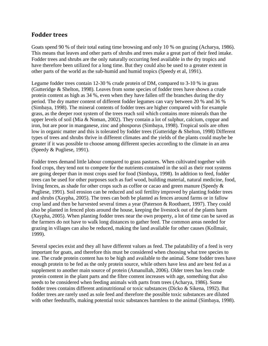## <span id="page-6-0"></span>**Fodder trees**

Goats spend 90 % of their total eating time browsing and only 10 % on grazing (Acharya, 1986). This means that leaves and other parts of shrubs and trees make a great part of their feed intake. Fodder trees and shrubs are the only naturally occurring feed available in the dry tropics and have therefore been utilized for a long time. But they could also be used to a greater extent in other parts of the world as the sub-humid and humid tropics (Speedy et al, 1991).

Legume fodder trees contain 12-30 % crude protein of DM, compared to 3-10 % in grass (Gutteridge & Shelton, 1998). Leaves from some species of fodder trees have shown a crude protein content as high as 34 %, even when they have fallen off the branches during the dry period. The dry matter content of different fodder legumes can vary between 20 % and 36 % (Simbaya, 1998). The mineral contents of fodder trees are higher compared with for example grass, as the deeper root system of the trees reach soil which contains more minerals than the upper levels of soil (Mia & Noman, 2002). They contain a lot of sulphur, calcium, coppar and iron, but are poor in manganese, zinc and phosporus (Simbaya, 1998). Tropical soils are often low in organic matter and this is tolerated by fodder trees (Gutteridge & Shelton, 1998) Different types of trees and shrubs thrive in different climates and the yields of the plants could maybe be greater if it was possible to choose among different species according to the climate in an area (Speedy & Pugliese, 1991).

Fodder trees demand little labour compared to grass pastures. When cultivated together with food crops, they tend not to compete for the nutrients contained in the soil as their root systems are going deeper than in most crops used for food (Simbaya, 1998). In addition to feed, fodder trees can be used for other purposes such as fuel wood, building material, natural medicine, food, living fences, as shade for other crops such as coffee or cacao and green manure (Speedy & Pugliese, 1991). Soil erosion can be reduced and soil fertility improved by planting fodder trees and shrubs (Xaypha, 2005). The trees can both be planted as fences around farms or in fallow crop land and then be harvested several times a year (Paterson & Roothaert, 1997). They could also be planted in fenced plots around the house, keeping the livestock out of the plants harm (Xaypha, 2005). When planting fodder trees near the own property, a lot of time can be saved as the farmers do not have to walk long distances to gather feed. The common areas needed for grazing in villages can also be reduced, making the land available for other causes (Kollmair, 1999).

Several species exist and they all have different values as feed. The palatability of a feed is very important for goats, and therefore this must be considered when choosing what tree species to use. The crude protein content has to be high and available to the animal. Some fodder trees have enough protein to be fed as the only protein source, while others have less and are best fed as a supplement to another main source of protein (Amanullah, 2006). Older trees has less crude protein content in the plant parts and the fibre content increases with age, something that also needs to be considered when feeding animals with parts from trees (Acharya, 1986). Some fodder trees contains different antinutritional or toxic substances (Dicko & Sikena, 1992). But fodder trees are rarely used as sole feed and therefore the possible toxic substances are diluted with other feedstuffs, making potential toxic substances harmless to the animal (Simbaya, 1998).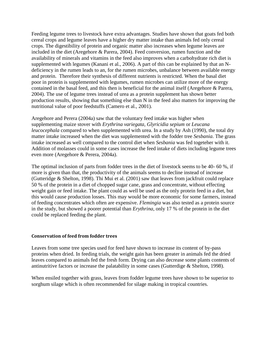Feeding legume trees to livestock have extra advantages. Studies have shown that goats fed both cereal crops and legume leaves have a higher dry matter intake than animals fed only cereal crops. The digestibility of protein and organic matter also increases when legume leaves are included in the diet (Aregehore & Parera, 2004). Feed conversion, rumen function and the availability of minerals and vitamins in the feed also improves when a carbohydrate rich diet is supplemented with legumes (Kanani et al., 2006). A part of this can be explained by that an Ndeficiency in the rumen leads to an, for the rumen microbes, unbalance between available energy and protein. Therefore their synthesis of different nutrients is restricted. When the basal diet poor in protein is supplemented with legumes, rumen microbes can utilize more of the energy contained in the basal feed, and this then is beneficial for the animal itself (Aregehore & Parera, 2004). The use of legume trees instead of urea as a protein supplement has shown better production results, showing that something else than N in the feed also matters for improving the nutritional value of poor feedstuffs (Camero et al., 2001).

Aregehore and Perera (2004a) saw that the voluntary feed intake was higher when supplementing maize stover with *Erythrina variegata*, *Glyricidia sepium* or *Leucana leucocephala* compared to when supplemented with urea. In a study by Ash (1990), the total dry matter intake increased when the diet was supplemented with the fodder tree *Sesbania*. The grass intake increased as well compared to the control diet when *Sesbania* was fed togeteher with it. Addition of molasses could in some cases increase the feed intake of diets including legume trees even more (Aregehore & Perera, 2004a).

The optimal inclusion of parts from fodder trees in the diet of livestock seems to be 40- 60 %, if more is given than that, the productivity of the animals seems to decline instead of increase (Gutteridge & Shelton, 1998). Thi Mui et al. (2001) saw that leaves from jackfruit could replace 50 % of the protein in a diet of chopped sugar cane, grass and concentrate, without effecting weight gain or feed intake. The plant could as well be used as the only protein feed in a diet, but this would cause production losses. This may would be more economic for some farmers, instead of feeding concentrates which often are expensive. *Flemingia* was also tested as a protein source in the study, but showed a poorer potential than *Erythrina*, only 17 % of the protein in the diet could be replaced feeding the plant.

#### <span id="page-7-0"></span>**Conservation of feed from fodder trees**

Leaves from some tree species used for feed have shown to increase its content of by-pass proteins when dried. In feeding trials, the weight gain has been greater in animals fed the dried leaves compared to animals fed the fresh form. Drying can also decrease some plants contents of antinutritive factors or increase the palatability in some cases (Gutterdige & Shelton, 1998).

When ensiled together with grass, leaves from fodder legume trees have shown to be superior to sorghum silage which is often recommended for silage making in tropical countries.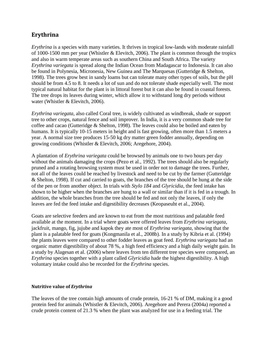## <span id="page-8-0"></span>**Erythrina**

*Erythrina* is a species with many varieties. It thrives in tropical low-lands with moderate rainfall of 1000-1500 mm per year (Whistler & Elevitch, 2006). The plant is common through the tropics and also in warm temperate areas such as southern China and South Africa. The variety *Erythrina variegata* is spread along the Indian Ocean from Madagascar to Indonesia. It can also be found in Polynesia, Micronesia, New Guinea and The Marquesas (Gutteridge & Shelton, 1998). The trees grow best in sandy loams but can tolerate many other types of soils, but the pH should be from 4.5 to 8. It needs a lot of sun and do not tolerate shade especially well. The most typical natural habitat for the plant is in littoral forest but it can also be found in coastal forests. The tree drops its leaves during winter, which allow it to withstand long dry periods without water (Whistler & Elevitch, 2006).

*Erythrina variegata*, also called Coral tree, is widely cultivated as windbreak, shade or support tree to other crops, natural fence and soil improver. In India, it is a very common shade tree for coffee and cacao (Gutteridge & Shelton, 1998). The leaves could also be boiled and eaten by humans. It is typically 10-15 meters in height and is fast growing, often more than 1.5 meters a year. A normal size tree produces 15-50 kg dry matter green fodder annually, depending on growing conditions (Whistler & Elevitch, 2006; Aregehore, 2004).

A plantation of *Erythrina variegata* could be browsed by animals one to two hours per day without the animals damaging the crops (Pezo et al., 1992). The trees should also be regularly pruned and a rotating browsing system must be used in order not to damage the trees. Further, not all of the leaves could be reached by livestock and need to be cut by the farmer (Gutteridge & Shelton, 1998). If cut and carried to goats, the branches of the tree should be hung at the side of the pen or from another object. In trials with *Stylo 184* and *Glyricidia*, the feed intake has shown to be higher when the branches are hung to a wall or similar than if it is fed in a trough. In addition, the whole branches from the tree should be fed and not only the leaves, if only the leaves are fed the feed intake and digestibility decreases (Keopaseuht et al., 2004).

Goats are selective feeders and are known to eat from the most nutritious and palatable feed available at the moment. In a trial where goats were offered leaves from *Erythrina variegata*, jackfruit, mango, fig, jujube and kapok they ate most of *Erythrina variegata*, showing that the plant is a palatable feed for goats (Kongmanila et al., 2008b). In a study by Kibria et al. (1994) the plants leaves were compared to other fodder leaves as goat feed. *Erythrina variegata* had an organic matter digestibility of about 78 %, a high feed efficiency and a high daily weight gain. In a study by Alagesan et al. (2006) where leaves from ten different tree species were compared, an *Erythrina* species together with a plant called *Glyricidia* hade the highest digestibility. A high voluntary intake could also be recorded for the *Erythrina* species.

#### <span id="page-8-1"></span>**Nutritive value of** *Erythrina*

The leaves of the tree contain high amounts of crude protein, 16-21 % of DM, making it a good protein feed for animals (Whistler & Elevitch, 2006). Aregehore and Perera (2004a) reported a crude protein content of 21.3 % when the plant was analyzed for use in a feeding trial. The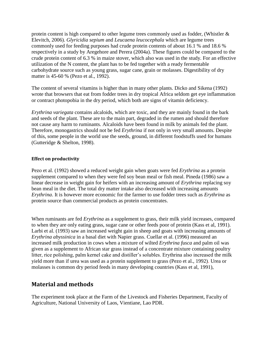protein content is high compared to other legume trees commonly used as fodder, (Whistler & Elevitch, 2006). *Glyricidia sepium* and *Leucaena leucocephala* which are legume trees commonly used for feeding purposes had crude protein contents of about 16.1 % and 18.6 % respectively in a study by Aregehore and Perera (2004a). These figures could be compared to the crude protein content of 6.3 % in maize stover, which also was used in the study. For an effective utilization of the N content, the plant has to be fed together with a ready fermentable carbohydrate source such as young grass, sugar cane, grain or molasses. Digestibility of dry matter is 45-60 % (Pezo et al., 1992).

The content of several vitamins is higher than in many other plants. Dicko and Sikena (1992) wrote that browsers that eat from fodder trees in dry tropical Africa seldom get eye inflammation or contract photopobia in the dry period, which both are signs of vitamin deficiency.

*Erythrina variegata* contains alcaloids, which are toxic, and they are mainly found in the bark and seeds of the plant. These are to the main part, degraded in the rumen and should therefore not cause any harm to ruminants. Alcaloids have been found in milk by animals fed the plant. Therefore, monogastrics should not be fed *Erythrina* if not only in very small amounts. Despite of this, some people in the world use the seeds, ground, in different foodstuffs used for humans (Gutteridge & Shelton, 1998).

#### <span id="page-9-0"></span>**Effect on productivity**

Pezo et al. (1992) showed a reduced weight gain when goats were fed *Erythrina* as a protein supplement compared to when they were fed soy bean meal or fish meal. Pineda (1986) saw a linear decrease in weight gain for heifers with an increasing amount of *Erythrina* replacing soy bean meal in the diet. The total dry matter intake also decreased with increasing amounts *Erythrina*. It is however more economic for the farmer to use fodder trees such as *Erythrina* as protein source than commercial products as protein concentrates.

When ruminants are fed *Erythrina* as a supplement to grass, their milk yield increases, compared to when they are only eating grass, sugar cane or other feeds poor of protein (Kass et al, 1991). Larbi et al. (1993) saw an increased weight gain in sheep and goats with increasing amounts of *Erythrina abyssinica* in a basal diet with Napier grass. Cuellar et al. (1996) measured an increased milk production in cows when a mixture of wilted *Erythrina fusca* and palm oil was given as a supplement to African star grass instead of a concentrate mixture containing poultry litter, rice polishing, palm kernel cake and distiller's solubles. Erythrina also increased the milk yield more than if urea was used as a protein supplement to grass (Pezo et al., 1992). Urea or molasses is common dry period feeds in many developing countries (Kass et al, 1991),

## <span id="page-9-1"></span>**Material and methods**

The experiment took place at the Farm of the Livestock and Fisheries Department, Faculty of Agriculture, National University of Laos, Vientiane, Lao PDR.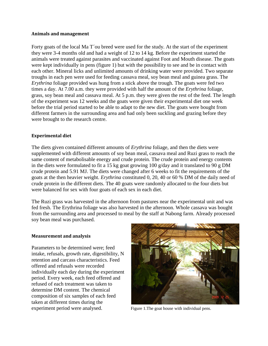#### <span id="page-10-0"></span>**Animals and management**

Forty goats of the local Ma T´ou breed were used for the study. At the start of the experiment they were 3-4 months old and had a weight of 12 to 14 kg. Before the experiment started the animals were treated against parasites and vaccinated against Foot and Mouth disease. The goats were kept individually in pens (figure 1) but with the possibility to see and be in contact with each other. Mineral licks and unlimited amounts of drinking water were provided. Two separate troughs in each pen were used for feeding cassava meal, soy bean meal and guinea grass. The *Erythrina* foliage provided was hung from a stick above the trough. The goats were fed two times a day. At 7.00 a.m. they were provided with half the amount of the *Erythrina* foliage, grass, soy bean meal and cassava meal. At 5 p.m. they were given the rest of the feed. The length of the experiment was 12 weeks and the goats were given their experimental diet one week before the trial period started to be able to adapt to the new diet. The goats were bought from different farmers in the surrounding area and had only been suckling and grazing before they were brought to the research centre.

#### <span id="page-10-1"></span>**Experimental diet**

The diets given contained different amounts of *Erythrina* foliage, and then the diets were supplemented with different amounts of soy bean meal, cassava meal and Ruzi grass to reach the same content of metabolisable energy and crude protein. The crude protein and energy contents in the diets were formulated to fit a 15 kg goat growing 100 g/day and it translated to 90 g DM crude protein and 5.91 MJ. The diets were changed after 6 weeks to fit the requirements of the goats at the then heavier weight. *Erythrina* constituted 0, 20, 40 or 60 % DM of the daily need of crude protein in the different diets. The 40 goats were randomly allocated to the four diets but were balanced for sex with four goats of each sex in each diet.

The Ruzi grass was harvested in the afternoon from pastures near the experimental unit and was fed fresh. The Erythrina foliage was also harvested in the afternoon. Whole cassava was bought from the surrounding area and processed to meal by the staff at Nabong farm. Already processed soy bean meal was purchased.

#### <span id="page-10-2"></span>**Measurement and analysis**

Parameters to be determined were; feed intake, refusals, growth rate, digestibility, N retention and carcass characteristics. Feed offered and refusals were recorded individually each day during the experiment period. Every week, each feed offered and refused of each treatment was taken to determine DM content. The chemical composition of six samples of each feed taken at different times during the experiment period were analysed. Figure 1. The goat house with individual pens.

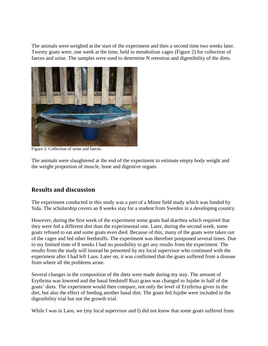The animals were weighed at the start of the experiment and then a second time two weeks later. Twenty goats were, one week at the time, held in metabolism cages (Figure 2) for collection of faeces and urine. The samples were used to determine N retention and digestibility of the diets.



Figure 2. Collection of urine and faeces.

The animals were slaughtered at the end of the experiment to estimate empty body weight and the weight proportion of muscle, bone and digestive organs.

## <span id="page-11-0"></span>**Results and discussion**

The experiment conducted in this study was a part of a Minor field study which was funded by Sida. The scholarship covers an 8 weeks stay for a student from Sweden in a developing country.

However, during the first week of the experiment some goats had diarrhea which required that they were fed a different diet than the experimental one. Later, during the second week, some goats refused to eat and some goats even died. Because of this, many of the goats were taken out of the cages and fed other feedstuffs. The experiment was therefore postponed several times. Due to my limited time of 8 weeks I had no possibility to get any results from the experiment. The results from the study will instead be presented by my local supervisor who continued with the experiment after I had left Laos. Later on, it was confirmed that the goats suffered from a disease from where all the problems arose.

Several changes in the composition of the diets were made during my stay. The amount of Erythrina was lowered and the basal feedstuff Ruzi grass was changed to Jujube in half of the goats' diets. The experiment would then compare, not only the level of Erythrina given in the diet, but also the effect of feeding another basal diet. The goats fed Jujube were included in the digestibility trial but not the growth trial.

While I was in Laos, we (my local supervisor and I) did not know that some goats suffered from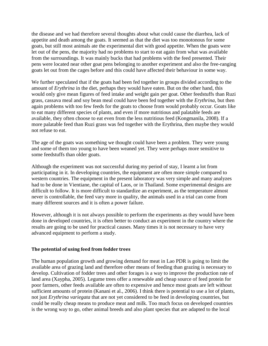the disease and we had therefore several thoughts about what could cause the diarrhea, lack of appetite and death among the goats. It seemed as that the diet was too monotonous for some goats, but still most animals ate the experimental diet with good appetite. When the goats were let out of the pens, the majority had no problems to start to eat again from what was available from the surroundings. It was mainly bucks that had problems with the feed presented. Their pens were located near other goat pens belonging to another experiment and also the free-ranging goats let out from the cages before and this could have affected their behaviour in some way.

We further speculated that if the goats had been fed together in groups divided according to the amount of *Erythrina* in the diet, perhaps they would have eaten. But on the other hand, this would only give mean figures of feed intake and weight gain per goat. Other feedstuffs than Ruzi grass, cassava meal and soy bean meal could have been fed together with the *Erythrina*, but then again problems with too few feeds for the goats to choose from would probably occur. Goats like to eat many different species of plants, and even if more nutritious and palatable feeds are available, they often choose to eat even from the less nutritious feed (Kongmanila, 2008). If a more palatable feed than Ruzi grass was fed together with the Erythrina, then maybe they would not refuse to eat.

The age of the goats was something we thought could have been a problem. They were young and some of them too young to have been weaned yet. They were perhaps more sensitive to some feedstuffs than older goats.

Although the experiment was not successful during my period of stay, I learnt a lot from participating in it. In developing countries, the equipment are often more simple compared to western countries. The equipment in the present laboratory was very simple and many analyzes had to be done in Vientiane, the capital of Laos, or in Thailand. Some experimental designs are difficult to follow. It is more difficult to standardize an experiment, as the temperature almost never is controllable, the feed vary more in quality, the animals used in a trial can come from many different sources and it is often a power failure.

However, although it is not always possible to perform the experiments as they would have been done in developed countries, it is often better to conduct an experiment in the country where the results are going to be used for practical causes. Many times it is not necessary to have very advanced equipment to perform a study.

#### <span id="page-12-0"></span>**The potential of using feed from fodder trees**

The human population growth and growing demand for meat in Lao PDR is going to limit the available area of grazing land and therefore other means of feeding than grazing is necessary to develop. Cultivation of fodder trees and other forages is a way to improve the production rate of land area (Xaypha, 2005). Legume trees offer a renewable and cheap source of feed protein for poor farmers, other feeds available are often to expensive and hence most goats are left without sufficient amounts of protein (Kanani et al., 2006). I think there is potential to use a lot of plants, not just *Erythrina variegata* that are not yet considered to be feed in developing countries, but could be really cheap means to produce meat and milk. Too much focus on developed countries is the wrong way to go, other animal breeds and also plant species that are adapted to the local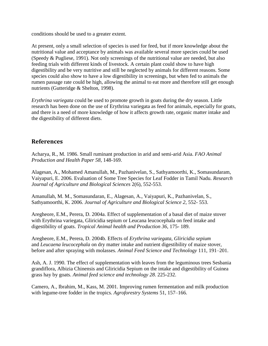conditions should be used to a greater extent.

At present, only a small selection of species is used for feed, but if more knowledge about the nutritional value and acceptance by animals was available several more species could be used (Speedy & Pugliese, 1991). Not only screenings of the nutritional value are needed, but also feeding trials with different kinds of livestock. A certain plant could show to have high digestibility and be very nutritive and still be neglected by animals for different reasons. Some species could also show to have a low digestibility in screenings, but when fed to animals the rumen passage rate could be high, allowing the animal to eat more and therefore still get enough nutrients (Gutteridge & Shelton, 1998).

*Erythrina variegata* could be used to promote growth in goats during the dry season. Little research has been done on the use of Erythrina variegata as feed for animals, especially for goats, and there is a need of more knowledge of how it affects growth rate, organic matter intake and the digestibility of different diets.

## <span id="page-13-0"></span>**References**

Acharya, R., M. 1986. Small ruminant production in arid and semi-arid Asia. *FAO Animal Production and Health Paper 58*, 148-169.

Alagesan, A., Mohamed Amanullah, M., Pazhanivelan, S., Sathyamoorthi, K., Somasundaram, Vaiyapuri, E. 2006. Evaluation of Some Tree Species for Leaf Fodder in Tamil Nadu. *Research Journal of Agriculture and Biological Sciences* 2(6), 552-553.

Amanullah, M. M., Somasundaran, E., Alagesan, A., Vaiyapuri, K., Pazhanivelan, S., Sathyamoorthi, K. 2006. *Journal of Agriculture and Biological Science 2*, 552- 553.

Aregheore, E.M., Perera, D. 2004a. Effect of supplementation of a basal diet of maize stover with Erythrina variegata, Gliricidia sepium or Leucana leucocephala on feed intake and digestibility of goats. *Tropical Animal health and Production 36*, 175- 189.

Aregheore, E.M., Perera, D. 2004b. Effects of *Erythrina variegata*, *Gliricidia sepium* and *Leucaena leucocephala* on dry matter intake and nutrient digestibility of maize stover, before and after spraying with molasses. *Animal Feed Science and Technology* 111, 191–201.

Ash, A. J. 1990. The effect of supplementation with leaves from the leguminous trees Sesbania grandiflora, Albizia Chinensis and Gliricidia Sepium on the intake and digestibility of Guinea grass hay by goats. *Animal feed science and technology 28*. 225-232.

Camero, A., Ibrahim, M., Kass, M. 2001. Improving rumen fermentation and milk production with legume-tree fodder in the tropics. *Agroforestry Systems* 51, 157–166.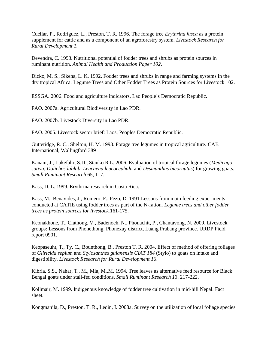Cuellar, P., Rodriguez, L., Preston, T. R. 1996. The forage tree *Erythrina fusca* as a protein supplement for cattle and as a component of an agroforestry system. *Livestock Research for Rural Development 1.*

Devendra, C. 1993. Nutritional potential of fodder trees and shrubs as protein sources in ruminant nutrition. *Animal Health and Production Paper 102*.

Dicko, M. S., Sikena, L. K. 1992. Fodder trees and shrubs in range and farming systems in the dry tropical Africa. Legume Trees and Other Fodder Trees as Protein Sources for Livestock 102.

ESSGA. 2006. Food and agriculture indicators, Lao People´s Democratic Republic.

FAO. 2007a. Agricultural Biodiversity in Lao PDR.

FAO. 2007b. Livestock Diversity in Lao PDR.

FAO. 2005. Livestock sector brief: Laos, Peoples Democratic Republic.

Gutteridge, R. C., Shelton, H. M. 1998. Forage tree legumes in tropical agriculture. CAB International, Wallingford 389

Kanani, J., Lukefahr, S.D., Stanko R.L. 2006. Evaluation of tropical forage legumes (*Medicago sativa*, *Dolichos lablab*, *Leucaena leucocephala* and *Desmanthus bicornutus*) for growing goats. *Small Ruminant Research* 65, 1–7.

Kass, D. L. 1999. Erythrina research in Costa Rica.

Kass, M., Benavides, J., Romero, F., Pezo, D. 1991.Lessons from main feeding experiments conducted at CATIE using fodder trees as part of the N-ration. *Legume trees and other fodder trees as protein sources for livestock.*161-175.

Keonakhone, T., Ciathong, V., Badenoch, N., Phonachit, P., Chantavong, N. 2009. Livestock groups: Lessons from Phonethong, Phonexay district, Luang Prabang province. URDP Field report 0901.

Keopaseuht, T., Ty, C., Bounthong, B., Preston T. R. 2004. Effect of method of offering foliages of *Gliricida sepium* and *Stylosanthes guianensis CIAT 184* (Stylo) to goats on intake and digestibility. *Livestock Research for Rural Development 16*.

Kibria, S.S., Nahar, T., M., Mia, M.,M. 1994. Tree leaves as alternative feed resource for Black Bengal goats under stall-fed conditions. *Small Ruminant Research 13*. 217-222.

Kollmair, M. 1999. Indigenous knowledge of fodder tree cultivation in mid-hill Nepal. Fact sheet.

Kongmanila, D., Preston, T. R., Ledin, I. 2008a. Survey on the utilization of local foliage species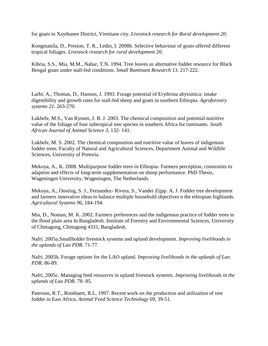for goats in Xaythanee District, Vientiane city. *Livestock research for Rural development 20*.

Kongmanila, D., Preston, T. R., Ledin, I. 2008b. Selective behaviour of goats offered different tropical foliages. *Livestock research for rural development* 20.

Kibria, S.S., Mia, M.M., Nahar, T.N. 1994. Tree leaves as alternative fodder resource for Black Bengal goats under stall-fed conditions. *Small Ruminant Research* 13. 217-222.

Larbi, A., Thomas, D., Hanson, J. 1993. Forage potential of Erythrina abyssinica: intake digestibility and growth rates for stall-fed sheep and goats in southern Ethiopia*. Agroforestry systems 21*. 263-270.

Lukhele, M.S., Van Ryssen, J. B. J. 2003. The chemical composition and potential nutritive value of the foliage of four subtropical tree species in southern Africa for ruminants. *South African Journal of Animal Science 3,* 132- 141.

Lukhele, M. S. 2002. The chemical composition and nutritive value of leaves of indigenous fodder trees. Faculty of Natural and Agricultural Sciences, Department Animal and Wildlife Sciences, University of Pretoria.

Mekoya, A., K. 2008. Multipurpose fodder trees in Ethiopia- Farmers perception, constraints to adaption and effects of long-term supplementation on sheep performance. PhD Thesis, Wageningen University, Wageningen, The Netherlands.

Mekoya, A., Oosting, S. J., Fernandez- Rivera, S., Vander Zijpp. A. J. Fodder tree development and farmers innovative ideas to balance multiple household objectives n the ethiopian highlands. *Agricultural Systems 96*, 184-194.

Mia, D., Noman, M. K. 2002. Farmers preferences and the indigenous practice of fodder trees in the flood plain area In Bangladesh. Institute of Forestry and Environmental Sciences, University of Chittagong, Chittagong 4331, Bangladesh.

Nafri. 2005a.Smallholder livestock systems and upland development. *Improving livelihoods in the uplands of Lao PDR.* 71-77.

Nafri. 2005b. Forage options for the LAO upland. *Improving livelihoods in the uplands of Lao PDR.* 86-89.

Nafri, 2005c. Managing feed resources in upland livestock systems. *Improving livelihoods in the uplands of Lao PDR.* 78- 85.

Paterson, R.T., Roothaert, R.L. 1997. Recent work on the production and utilization of tree fodder in East Africa. *Animal Feed Science Technology* 69, 39-51.